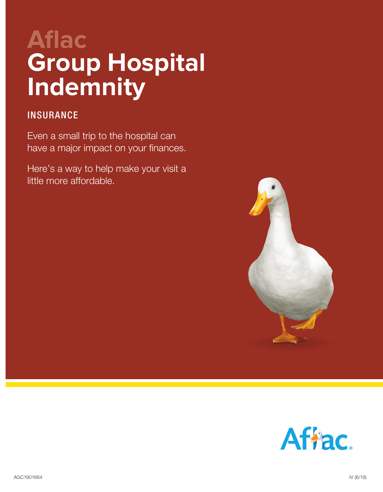# **Aflac Group Hospital Indemnity**

### **INSURANCE**

Even a small trip to the hospital can have a major impact on your finances.

Here's a way to help make your visit a little more affordable.



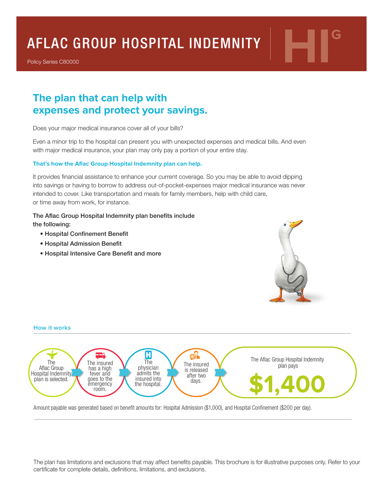# AFLAC GROUP HOSPITAL INDEMNITY |

Policy Series C80000

## **The plan that can help with expenses and protect your savings.**

Does your major medical insurance cover all of your bills?

Even a minor trip to the hospital can present you with unexpected expenses and medical bills. And even with major medical insurance, your plan may only pay a portion of your entire stay.

#### **That's how the Aflac Group Hospital Indemnity plan can help.**

It provides financial assistance to enhance your current coverage. So you may be able to avoid dipping into savings or having to borrow to address out-of-pocket-expenses major medical insurance was never intended to cover. Like transportation and meals for family members, help with child care, or time away from work, for instance.

#### The Aflac Group Hospital Indemnity plan benefits include

the following:

- Hospital Confinement Benefit
- Hospital Admission Benefit
- Hospital Intensive Care Benefit and more





Amount payable was generated based on benefit amounts for: Hospital Admission (\$1,000), and Hospital Confinement (\$200 per day).

The plan has limitations and exclusions that may affect benefits payable. This brochure is for illustrative purposes only. Refer to your certificate for complete details, definitions, limitations, and exclusions.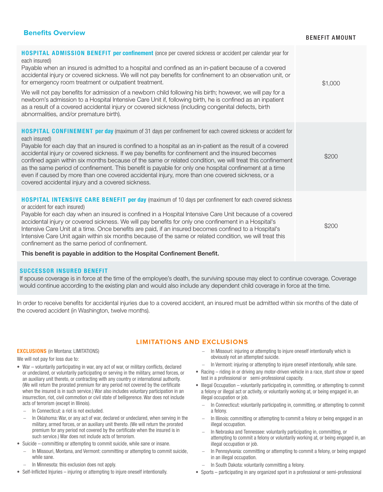#### **Benefits Overview**

#### BENEFIT AMOUNT

| <b>HOSPITAL ADMISSION BENEFIT per confinement</b> (once per covered sickness or accident per calendar year for<br>each insured)<br>Payable when an insured is admitted to a hospital and confined as an in-patient because of a covered<br>accidental injury or covered sickness. We will not pay benefits for confinement to an observation unit, or<br>for emergency room treatment or outpatient treatment.<br>We will not pay benefits for admission of a newborn child following his birth; however, we will pay for a<br>newborn's admission to a Hospital Intensive Care Unit if, following birth, he is confined as an inpatient<br>as a result of a covered accidental injury or covered sickness (including congenital defects, birth<br>abnormalities, and/or premature birth). | \$1,000 |
|--------------------------------------------------------------------------------------------------------------------------------------------------------------------------------------------------------------------------------------------------------------------------------------------------------------------------------------------------------------------------------------------------------------------------------------------------------------------------------------------------------------------------------------------------------------------------------------------------------------------------------------------------------------------------------------------------------------------------------------------------------------------------------------------|---------|
| <b>HOSPITAL CONFINEMENT per day (maximum of 31 days per confinement for each covered sickness or accident for</b><br>each insured)<br>Payable for each day that an insured is confined to a hospital as an in-patient as the result of a covered<br>accidental injury or covered sickness. If we pay benefits for confinement and the insured becomes<br>confined again within six months because of the same or related condition, we will treat this confinement<br>as the same period of confinement. This benefit is payable for only one hospital confinement at a time<br>even if caused by more than one covered accidental injury, more than one covered sickness, or a<br>covered accidental injury and a covered sickness.                                                       | \$200   |
| <b>HOSPITAL INTENSIVE CARE BENEFIT per day</b> (maximum of 10 days per confinement for each covered sickness<br>or accident for each insured)<br>Payable for each day when an insured is confined in a Hospital Intensive Care Unit because of a covered<br>accidental injury or covered sickness. We will pay benefits for only one confinement in a Hospital's<br>Intensive Care Unit at a time. Once benefits are paid, if an insured becomes confined to a Hospital's<br>Intensive Care Unit again within six months because of the same or related condition, we will treat this<br>confinement as the same period of confinement.<br>This benefit is payable in addition to the Hospital Confinement Benefit.                                                                        | \$200   |

#### SUCCESSOR INSURED BENEFIT

If spouse coverage is in force at the time of the employee's death, the surviving spouse may elect to continue coverage. Coverage would continue according to the existing plan and would also include any dependent child coverage in force at the time.

In order to receive benefits for accidental injuries due to a covered accident, an insured must be admitted within six months of the date of the covered accident (in Washington, twelve months).

#### **LIMITATIONS AND EXCLUSIONS**

#### EXCLUSIONS (in Montana: LIMITATIONS)

We will not pay for loss due to:

- War voluntarily participating in war, any act of war, or military conflicts, declared or undeclared, or voluntarily participating or serving in the military, armed forces, or an auxiliary unit thereto, or contracting with any country or international authority. (We will return the prorated premium for any period not covered by the certificate when the insured is in such service.) War also includes voluntary participation in an insurrection, riot, civil commotion or civil state of belligerence. War does not include acts of terrorism (except in Illinois).
	- − In Connecticut: a riot is not excluded.
	- In Oklahoma: War, or any act of war, declared or undeclared, when serving in the military, armed forces, or an auxiliary unit thereto. (We will return the prorated premium for any period not covered by the certificate when the insured is in such service.) War does not include acts of terrorism.
- Suicide committing or attempting to commit suicide, while sane or insane.
	- In Missouri, Montana, and Vermont: committing or attempting to commit suicide, while sane.
	- − In Minnesota: this exclusion does not apply.
- Self-Inflicted Injuries injuring or attempting to injure oneself intentionally.
- In Missouri: injuring or attempting to injure oneself intentionally which is obviously not an attempted suicide.
- In Vermont: injuring or attempting to injure oneself intentionally, while sane.
- Racing riding in or driving any motor-driven vehicle in a race, stunt show or speed test in a professional or semi-professional capacity.
- Illegal Occupation voluntarily participating in, committing, or attempting to commit a felony or illegal act or activity, or voluntarily working at, or being engaged in, an illegal occupation or job.
	- − In Connecticut: voluntarily participating in, committing, or attempting to commit a felony.
	- In Illinois: committing or attempting to commit a felony or being engaged in an illegal occupation.
	- In Nebraska and Tennessee: voluntarily participating in, committing, or attempting to commit a felony or voluntarily working at, or being engaged in, an illegal occupation or job.
	- In Pennsylvania: committing or attempting to commit a felony, or being engaged in an illegal occupation.
	- In South Dakota: voluntarily committing a felony.
- Sports participating in any organized sport in a professional or semi-professional